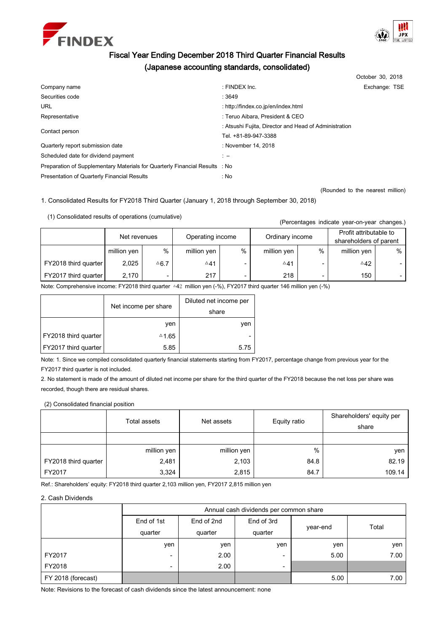



# Fiscal Year Ending December 2018 Third Quarter Financial Results (Japanese accounting standards, consolidated)

|                                                                             |                                                       | October 30, 2018 |  |
|-----------------------------------------------------------------------------|-------------------------------------------------------|------------------|--|
| Company name                                                                | : FINDEX Inc.                                         | Exchange: TSE    |  |
| Securities code                                                             | :3649                                                 |                  |  |
| <b>URL</b>                                                                  | : http://findex.co.jp/en/index.html                   |                  |  |
| Representative                                                              | : Teruo Aibara, President & CEO                       |                  |  |
| Contact person                                                              | : Atsushi Fujita, Director and Head of Administration |                  |  |
|                                                                             | Tel. +81-89-947-3388                                  |                  |  |
| Quarterly report submission date                                            | : November 14, 2018                                   |                  |  |
| Scheduled date for dividend payment                                         | $\mathbf{1}$ $-$                                      |                  |  |
| Preparation of Supplementary Materials for Quarterly Financial Results : No |                                                       |                  |  |
| Presentation of Quarterly Financial Results                                 | : No                                                  |                  |  |

(Rounded to the nearest million)

1. Consolidated Results for FY2018 Third Quarter (January 1, 2018 through September 30, 2018)

(1) Consolidated results of operations (cumulative)

(Percentages indicate year-on-year changes.)

|                      | Net revenues |                   | Operating income |   | Ordinary income |   | Profit attributable to<br>shareholders of parent |        |
|----------------------|--------------|-------------------|------------------|---|-----------------|---|--------------------------------------------------|--------|
|                      | million yen  | $\%$              | million yen      | % | million yen     | % | million yen                                      | %      |
| FY2018 third quarter | 2.025        | $^{\triangle}6.7$ | $\triangle 41$   |   | ∆41             |   | $^{\triangle}42$                                 | $\sim$ |
| FY2017 third quarter | 2.170        | -                 | 217              |   | 218             |   | 150                                              | - 1    |

Note: Comprehensive income: FY2018 third quarter △42 million yen (-%), FY2017 third quarter 146 million yen (-%)

|                      | Net income per share | Diluted net income per<br>share |  |
|----------------------|----------------------|---------------------------------|--|
|                      | ven                  | ven                             |  |
| FY2018 third quarter | △1.65                | -                               |  |
| FY2017 third quarter | 5.85                 | 5.75                            |  |

Note: 1. Since we compiled consolidated quarterly financial statements starting from FY2017, percentage change from previous year for the FY2017 third quarter is not included.

2. No statement is made of the amount of diluted net income per share for the third quarter of the FY2018 because the net loss per share was recorded, though there are residual shares.

(2) Consolidated financial position

|                      | Total assets | Net assets  | Equity ratio | Shareholders' equity per<br>share |
|----------------------|--------------|-------------|--------------|-----------------------------------|
|                      |              |             |              |                                   |
|                      | million yen  | million yen | %            | yen                               |
| FY2018 third quarter | 2,481        | 2,103       | 84.8         | 82.19                             |
| FY2017               | 3,324        | 2,815       | 84.7         | 109.14                            |

Ref.: Shareholders' equity: FY2018 third quarter 2,103 million yen, FY2017 2,815 million yen

# 2. Cash Dividends

|                    | Annual cash dividends per common share |            |                          |          |       |  |  |  |
|--------------------|----------------------------------------|------------|--------------------------|----------|-------|--|--|--|
|                    | End of 1st                             | End of 2nd | End of 3rd               |          |       |  |  |  |
|                    | quarter                                | quarter    | quarter                  | year-end | Total |  |  |  |
|                    | yen                                    | yen        | yen                      | yen      | yen   |  |  |  |
| FY2017             | -                                      | 2.00       | -                        | 5.00     | 7.00  |  |  |  |
| FY2018             | -                                      | 2.00       | $\overline{\phantom{a}}$ |          |       |  |  |  |
| FY 2018 (forecast) |                                        |            |                          | 5.00     | 7.00  |  |  |  |

Note: Revisions to the forecast of cash dividends since the latest announcement: none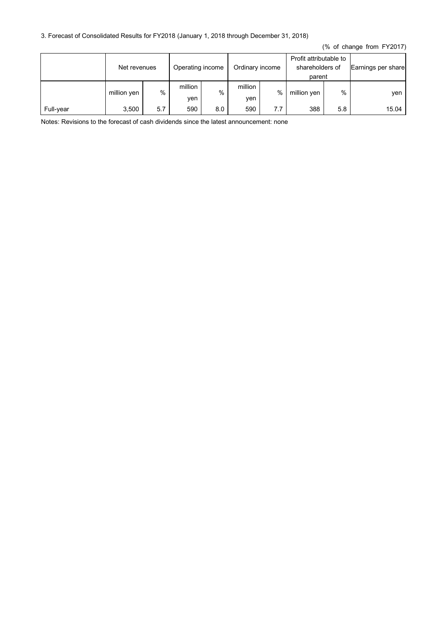# 3. Forecast of Consolidated Results for FY2018 (January 1, 2018 through December 31, 2018)

(% of change from FY2017)

|           | Net revenues |     | Operating income |     | Ordinary income |     | Profit attributable to<br>shareholders of<br>parent |     | Earnings per share |
|-----------|--------------|-----|------------------|-----|-----------------|-----|-----------------------------------------------------|-----|--------------------|
|           | million yen  | %   | million<br>yen   | %   | million<br>yen  | %   | million yen                                         | %   | ven                |
| Full-year | 3.500        | 5.7 | 590              | 8.0 | 590             | 7.7 | 388                                                 | 5.8 | 15.04              |

Notes: Revisions to the forecast of cash dividends since the latest announcement: none